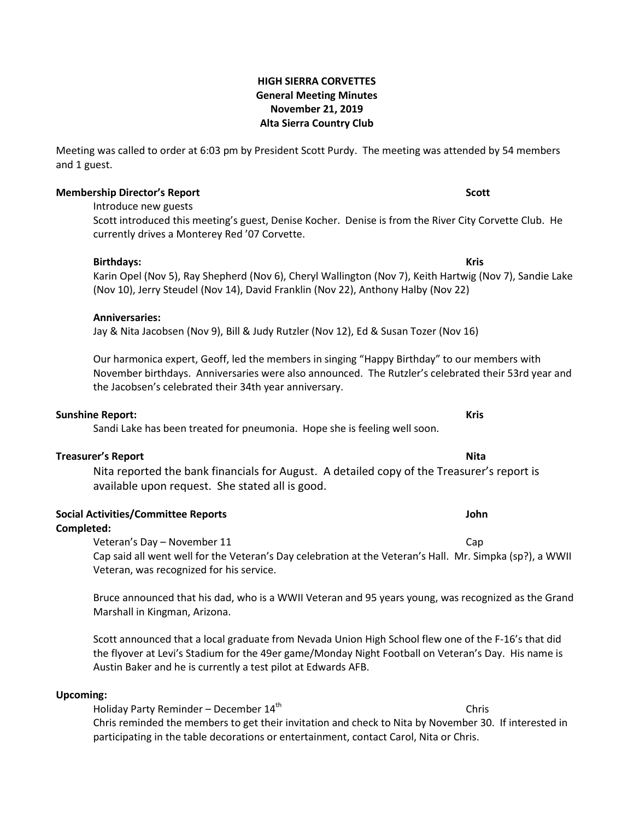## **HIGH SIERRA CORVETTES General Meeting Minutes November 21, 2019 Alta Sierra Country Club**

Meeting was called to order at 6:03 pm by President Scott Purdy. The meeting was attended by 54 members and 1 guest.

#### **Membership Director's Report Scott**

Introduce new guests

Scott introduced this meeting's guest, Denise Kocher. Denise is from the River City Corvette Club. He currently drives a Monterey Red '07 Corvette.

**Birthdays: Kris** Karin Opel (Nov 5), Ray Shepherd (Nov 6), Cheryl Wallington (Nov 7), Keith Hartwig (Nov 7), Sandie Lake (Nov 10), Jerry Steudel (Nov 14), David Franklin (Nov 22), Anthony Halby (Nov 22)

### **Anniversaries:**

Jay & Nita Jacobsen (Nov 9), Bill & Judy Rutzler (Nov 12), Ed & Susan Tozer (Nov 16)

Our harmonica expert, Geoff, led the members in singing "Happy Birthday" to our members with November birthdays. Anniversaries were also announced. The Rutzler's celebrated their 53rd year and the Jacobsen's celebrated their 34th year anniversary.

#### **Sunshine Report: Kris**

Sandi Lake has been treated for pneumonia. Hope she is feeling well soon.

## **Treasurer's Report Nita**

Nita reported the bank financials for August. A detailed copy of the Treasurer's report is available upon request. She stated all is good.

## **Social Activities/Committee Reports John**

### **Completed:**

Veteran's Day – November 11 Cap Cap said all went well for the Veteran's Day celebration at the Veteran's Hall. Mr. Simpka (sp?), a WWII Veteran, was recognized for his service.

Bruce announced that his dad, who is a WWII Veteran and 95 years young, was recognized as the Grand Marshall in Kingman, Arizona.

Scott announced that a local graduate from Nevada Union High School flew one of the F-16's that did the flyover at Levi's Stadium for the 49er game/Monday Night Football on Veteran's Day. His name is Austin Baker and he is currently a test pilot at Edwards AFB.

## **Upcoming:**

Holiday Party Reminder – December  $14<sup>th</sup>$  Chris Chris reminded the members to get their invitation and check to Nita by November 30. If interested in participating in the table decorations or entertainment, contact Carol, Nita or Chris.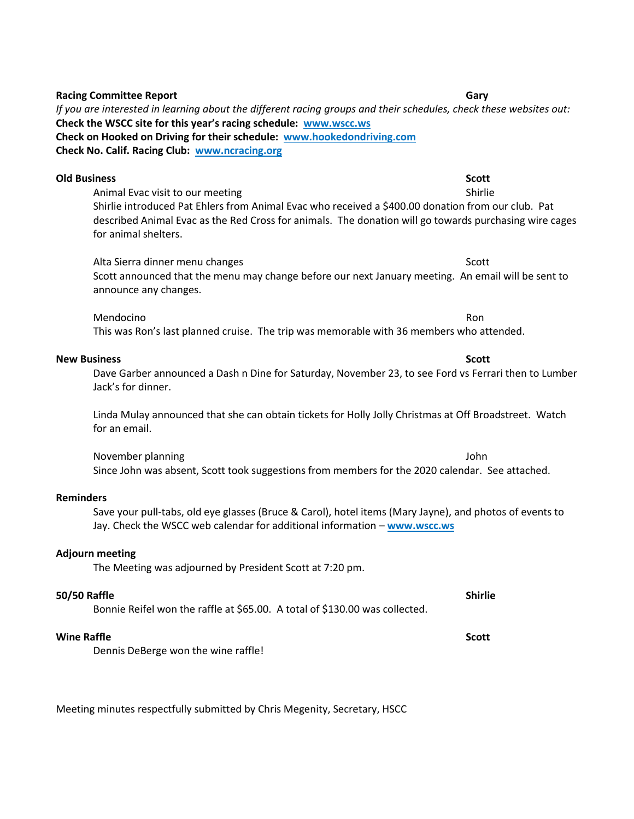| Check on Hooked on Driving for their schedule: www.hookedondriving.com<br>Check No. Calif. Racing Club: www.ncracing.org                                                                                                                                                                        |                         |
|-------------------------------------------------------------------------------------------------------------------------------------------------------------------------------------------------------------------------------------------------------------------------------------------------|-------------------------|
| <b>Old Business</b><br>Animal Evac visit to our meeting<br>Shirlie introduced Pat Ehlers from Animal Evac who received a \$400.00 donation from our club. Pat<br>described Animal Evac as the Red Cross for animals. The donation will go towards purchasing wire cages<br>for animal shelters. | <b>Scott</b><br>Shirlie |
| Alta Sierra dinner menu changes<br>Scott announced that the menu may change before our next January meeting. An email will be sent to<br>announce any changes.                                                                                                                                  | Scott                   |
| Mendocino<br>This was Ron's last planned cruise. The trip was memorable with 36 members who attended.                                                                                                                                                                                           | Ron                     |
| <b>New Business</b><br>Dave Garber announced a Dash n Dine for Saturday, November 23, to see Ford vs Ferrari then to Lumber<br>Jack's for dinner.                                                                                                                                               | <b>Scott</b>            |
| Linda Mulay announced that she can obtain tickets for Holly Jolly Christmas at Off Broadstreet. Watch<br>for an email.                                                                                                                                                                          |                         |
| November planning<br>Since John was absent, Scott took suggestions from members for the 2020 calendar. See attached.                                                                                                                                                                            | John                    |

*If you are interested in learning about the different racing groups and their schedules, check these websites out:*

**Check the WSCC site for this year's racing schedule: www.wscc.ws**

## **Reminders**

Save your pull-tabs, old eye glasses (Bruce & Carol), hotel items (Mary Jayne), and photos of events to Jay. Check the WSCC web calendar for additional information – **[www.wscc.ws](http://www.wscc.ws/)**

### **Adjourn meeting**

The Meeting was adjourned by President Scott at 7:20 pm.

### **50/50 Raffle Shirlie**

Bonnie Reifel won the raffle at \$65.00. A total of \$130.00 was collected.

#### *Wine Raffle* Scott Scott Scott Scott Scott Scott Scott Scott Scott Scott Scott Scott Scott Scott Scott Scott Scott Scott Scott Scott Scott Scott Scott Scott Scott Scott Scott Scott Scott Scott Scott Scott Scott Scott Sc

Dennis DeBerge won the wine raffle!

Meeting minutes respectfully submitted by Chris Megenity, Secretary, HSCC

**Racing Committee Report Gary**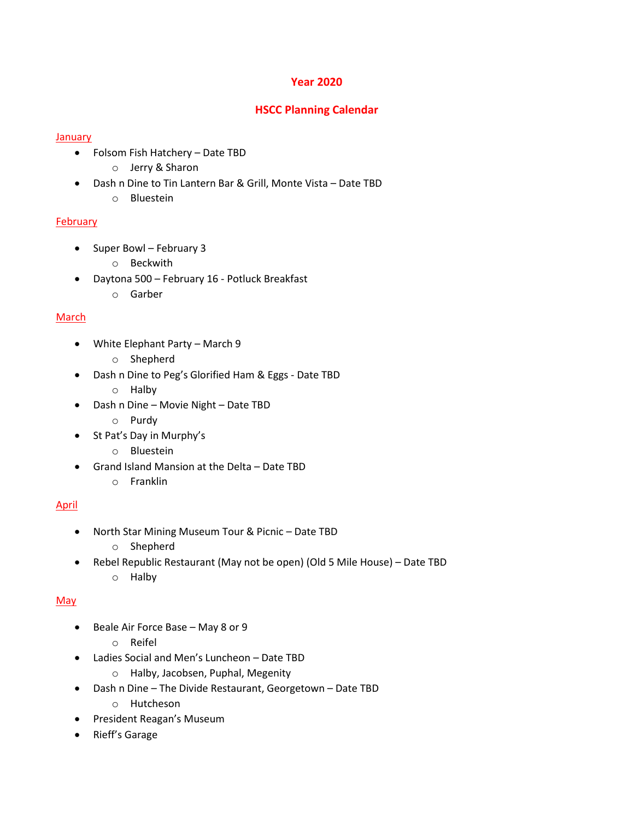## **Year 2020**

# **HSCC Planning Calendar**

## January

- Folsom Fish Hatchery Date TBD
	- o Jerry & Sharon
- Dash n Dine to Tin Lantern Bar & Grill, Monte Vista Date TBD
	- o Bluestein

## February

- Super Bowl February 3
	- o Beckwith
- Daytona 500 February 16 Potluck Breakfast
	- o Garber

# **March**

- White Elephant Party March 9
	- o Shepherd
- Dash n Dine to Peg's Glorified Ham & Eggs Date TBD
	- o Halby
- Dash n Dine Movie Night Date TBD
	- o Purdy
- St Pat's Day in Murphy's
	- o Bluestein
- Grand Island Mansion at the Delta Date TBD
	- o Franklin

# April

- North Star Mining Museum Tour & Picnic Date TBD
	- o Shepherd
- Rebel Republic Restaurant (May not be open) (Old 5 Mile House) Date TBD o Halby

# **May**

- Beale Air Force Base May 8 or 9
	- o Reifel
- Ladies Social and Men's Luncheon Date TBD
	- o Halby, Jacobsen, Puphal, Megenity
- Dash n Dine The Divide Restaurant, Georgetown Date TBD
	- o Hutcheson
- President Reagan's Museum
- Rieff's Garage